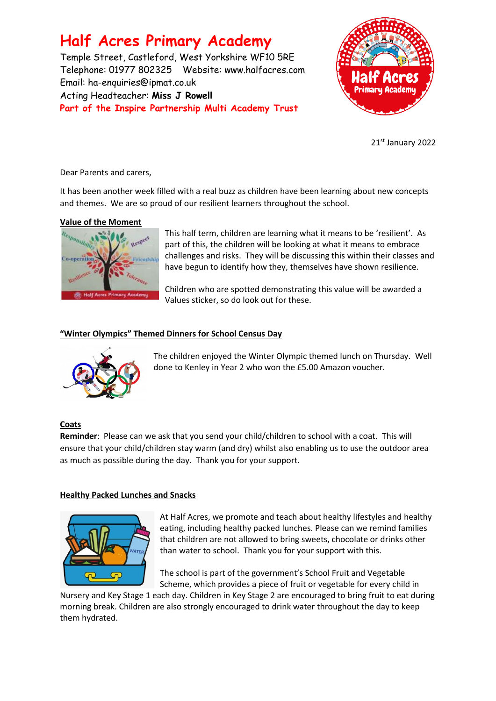# **Half Acres Primary Academy**

Temple Street, Castleford, West Yorkshire WF10 5RE Telephone: 01977 802325 Website: [www.halfacres.com](http://www.halfacres.com/) Email: ha-enquiries@ipmat.co.uk Acting Headteacher: **Miss J Rowell Part of the Inspire Partnership Multi Academy Trust**



21st January 2022

Dear Parents and carers,

It has been another week filled with a real buzz as children have been learning about new concepts and themes. We are so proud of our resilient learners throughout the school.

### **Value of the Moment**



This half term, children are learning what it means to be 'resilient'. As part of this, the children will be looking at what it means to embrace challenges and risks. They will be discussing this within their classes and have begun to identify how they, themselves have shown resilience.

Children who are spotted demonstrating this value will be awarded a Values sticker, so do look out for these.

## **"Winter Olympics" Themed Dinners for School Census Day**



The children enjoyed the Winter Olympic themed lunch on Thursday. Well done to Kenley in Year 2 who won the £5.00 Amazon voucher.

# **Coats**

**Reminder**: Please can we ask that you send your child/children to school with a coat. This will ensure that your child/children stay warm (and dry) whilst also enabling us to use the outdoor area as much as possible during the day. Thank you for your support.

### **Healthy Packed Lunches and Snacks**



At Half Acres, we promote and teach about healthy lifestyles and healthy eating, including healthy packed lunches. Please can we remind families that children are not allowed to bring sweets, chocolate or drinks other than water to school. Thank you for your support with this.

The school is part of the government's School Fruit and Vegetable Scheme, which provides a piece of fruit or vegetable for every child in

Nursery and Key Stage 1 each day. Children in Key Stage 2 are encouraged to bring fruit to eat during morning break. Children are also strongly encouraged to drink water throughout the day to keep them hydrated.